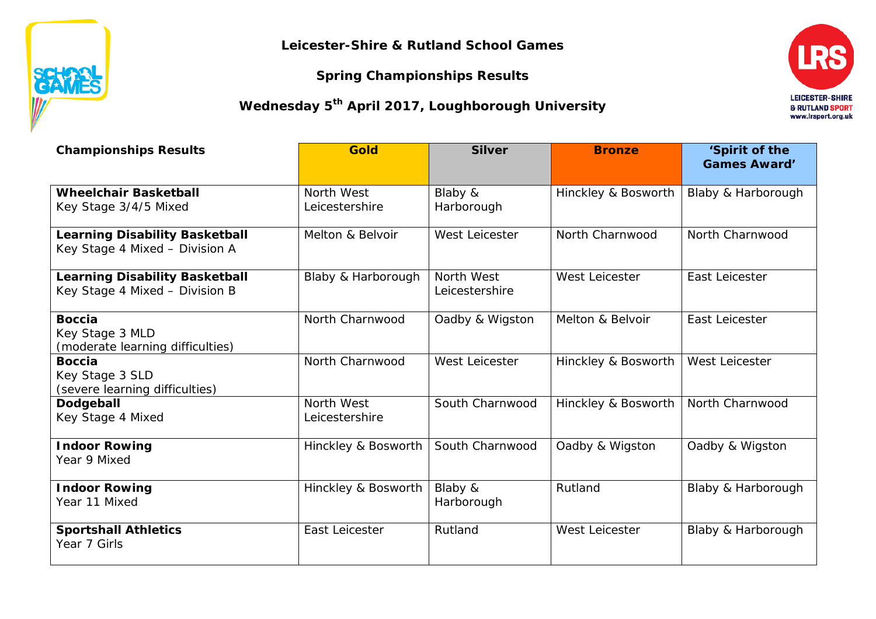**Leicester-Shire & Rutland School Games**

**Spring Championships Results**

**SEAME** 

**Wednesday 5th April 2017, Loughborough University**



| <b>Championships Results</b>                                            | <b>Gold</b>                  | <b>Silver</b>                | <b>Bronze</b>       | 'Spirit of the<br><b>Games Award'</b> |  |
|-------------------------------------------------------------------------|------------------------------|------------------------------|---------------------|---------------------------------------|--|
| <b>Wheelchair Basketball</b><br>Key Stage 3/4/5 Mixed                   | North West<br>Leicestershire | Blaby &<br>Harborough        | Hinckley & Bosworth | Blaby & Harborough                    |  |
| <b>Learning Disability Basketball</b><br>Key Stage 4 Mixed - Division A | Melton & Belvoir             | West Leicester               | North Charnwood     | North Charnwood                       |  |
| <b>Learning Disability Basketball</b><br>Key Stage 4 Mixed - Division B | Blaby & Harborough           | North West<br>Leicestershire | West Leicester      | East Leicester                        |  |
| <b>Boccia</b><br>Key Stage 3 MLD<br>(moderate learning difficulties)    | North Charnwood              | Oadby & Wigston              | Melton & Belvoir    | East Leicester                        |  |
| <b>Boccia</b><br>Key Stage 3 SLD<br>(severe learning difficulties)      | North Charnwood              | West Leicester               | Hinckley & Bosworth | West Leicester                        |  |
| Dodgeball<br>Key Stage 4 Mixed                                          | North West<br>Leicestershire | South Charnwood              | Hinckley & Bosworth | North Charnwood                       |  |
| <b>Indoor Rowing</b><br>Year 9 Mixed                                    | Hinckley & Bosworth          | South Charnwood              | Oadby & Wigston     | Oadby & Wigston                       |  |
| <b>Indoor Rowing</b><br>Year 11 Mixed                                   | Hinckley & Bosworth          | Blaby &<br>Harborough        | Rutland             | Blaby & Harborough                    |  |
| <b>Sportshall Athletics</b><br>Year 7 Girls                             | East Leicester               | Rutland                      | West Leicester      | Blaby & Harborough                    |  |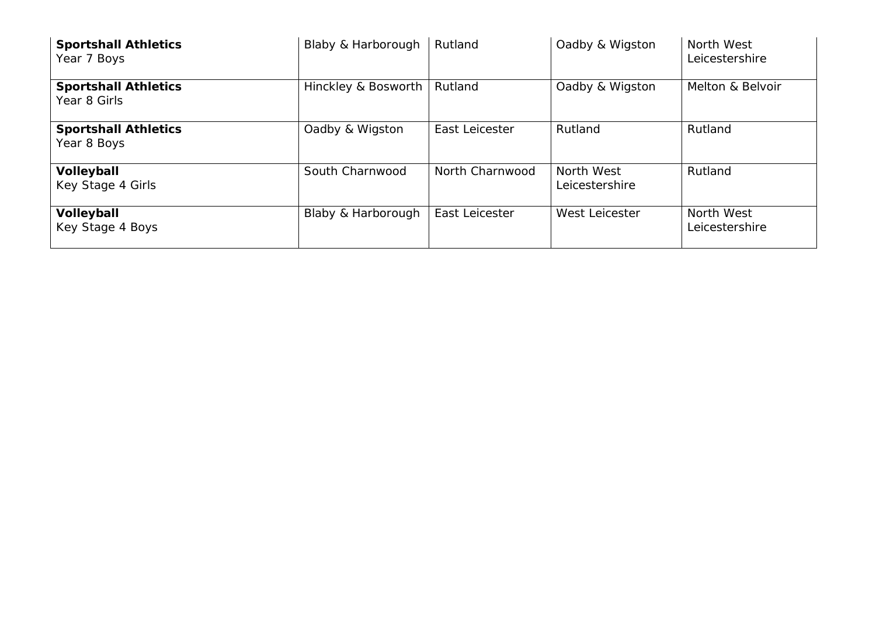| <b>Sportshall Athletics</b><br>Year 7 Boys  | Blaby & Harborough  | Rutland         | Oadby & Wigston              | North West<br>Leicestershire |  |
|---------------------------------------------|---------------------|-----------------|------------------------------|------------------------------|--|
| <b>Sportshall Athletics</b><br>Year 8 Girls | Hinckley & Bosworth | Rutland         | Oadby & Wigston              | Melton & Belvoir             |  |
| <b>Sportshall Athletics</b><br>Year 8 Boys  | Oadby & Wigston     | East Leicester  | Rutland                      | Rutland                      |  |
| Volleyball<br>Key Stage 4 Girls             | South Charnwood     | North Charnwood | North West<br>Leicestershire | Rutland                      |  |
| Volleyball<br>Key Stage 4 Boys              | Blaby & Harborough  | East Leicester  | West Leicester               | North West<br>Leicestershire |  |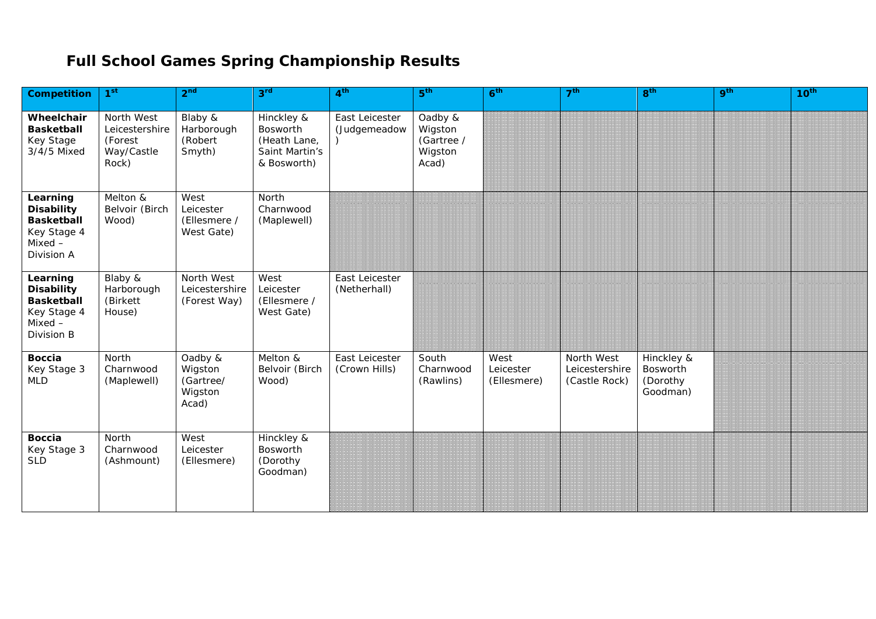## **Full School Games Spring Championship Results**

| <b>Competition</b>                                                                           | 1 <sup>st</sup>                                                | 2 <sup>nd</sup>                                     | 3 <sup>rd</sup>                                                         | 4 <sup>th</sup>                 | 5 <sup>th</sup>                                      | 6 <sup>th</sup>                  | 7 <sup>th</sup>                               | 8 <sup>th</sup>                                | 9 <sup>th</sup> | 10 <sup>th</sup> |
|----------------------------------------------------------------------------------------------|----------------------------------------------------------------|-----------------------------------------------------|-------------------------------------------------------------------------|---------------------------------|------------------------------------------------------|----------------------------------|-----------------------------------------------|------------------------------------------------|-----------------|------------------|
| Wheelchair<br><b>Basketball</b><br>Key Stage<br>3/4/5 Mixed                                  | North West<br>Leicestershire<br>(Forest<br>Way/Castle<br>Rock) | Blaby &<br>Harborough<br>(Robert<br>Smyth)          | Hinckley &<br>Bosworth<br>(Heath Lane,<br>Saint Martin's<br>& Bosworth) | East Leicester<br>(Judgemeadow  | Oadby &<br>Wigston<br>(Gartree /<br>Wigston<br>Acad) |                                  |                                               |                                                |                 |                  |
| Learning<br><b>Disability</b><br><b>Basketball</b><br>Key Stage 4<br>$Mixed -$<br>Division A | Melton &<br>Belvoir (Birch<br>Wood)                            | West<br>Leicester<br>(Ellesmere /<br>West Gate)     | North<br>Charnwood<br>(Maplewell)                                       |                                 |                                                      |                                  |                                               |                                                |                 |                  |
| Learning<br><b>Disability</b><br><b>Basketball</b><br>Key Stage 4<br>$Mixed -$<br>Division B | Blaby &<br>Harborough<br>(Birkett<br>House)                    | North West<br>Leicestershire<br>(Forest Way)        | West<br>Leicester<br>(Ellesmere /<br>West Gate)                         | East Leicester<br>(Netherhall)  |                                                      |                                  |                                               |                                                |                 |                  |
| <b>Boccia</b><br>Key Stage 3<br><b>MLD</b>                                                   | North<br>Charnwood<br>(Maplewell)                              | Oadby &<br>Wigston<br>(Gartree/<br>Wigston<br>Acad) | Melton &<br>Belvoir (Birch<br>Wood)                                     | East Leicester<br>(Crown Hills) | South<br>Charnwood<br>(Rawlins)                      | West<br>Leicester<br>(Ellesmere) | North West<br>Leicestershire<br>(Castle Rock) | Hinckley &<br>Bosworth<br>(Dorothy<br>Goodman) |                 |                  |
| <b>Boccia</b><br>Key Stage 3<br><b>SLD</b>                                                   | North<br>Charnwood<br>(Ashmount)                               | West<br>Leicester<br>(Ellesmere)                    | Hinckley &<br>Bosworth<br>(Dorothy<br>Goodman)                          |                                 |                                                      |                                  |                                               |                                                |                 |                  |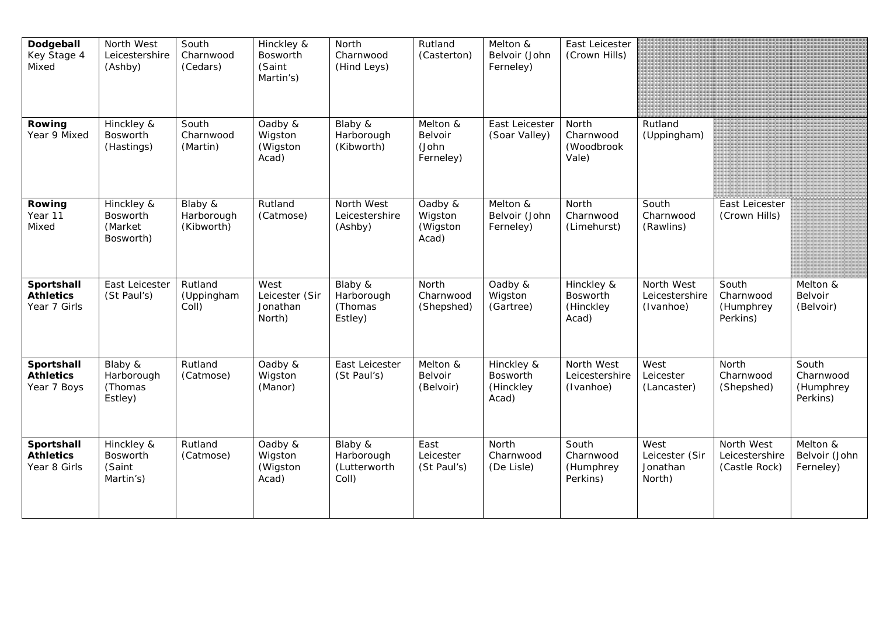| Dodgeball<br>Key Stage 4<br>Mixed              | North West<br>Leicestershire<br>(Ashby)        | South<br>Charnwood<br>(Cedars)      | Hinckley &<br>Bosworth<br>(Saint<br>Martin's) | North<br>Charnwood<br>(Hind Leys)              | Rutland<br>(Casterton)                    | Melton &<br>Belvoir (John<br>Ferneley)       | East Leicester<br>(Crown Hills)              |                                              |                                               |                                             |
|------------------------------------------------|------------------------------------------------|-------------------------------------|-----------------------------------------------|------------------------------------------------|-------------------------------------------|----------------------------------------------|----------------------------------------------|----------------------------------------------|-----------------------------------------------|---------------------------------------------|
| Rowing<br>Year 9 Mixed                         | Hinckley &<br>Bosworth<br>(Hastings)           | South<br>Charnwood<br>(Martin)      | Oadby &<br>Wigston<br>(Wigston<br>Acad)       | Blaby &<br>Harborough<br>(Kibworth)            | Melton &<br>Belvoir<br>(John<br>Ferneley) | East Leicester<br>(Soar Valley)              | North<br>Charnwood<br>(Woodbrook<br>Vale)    | Rutland<br>(Uppingham)                       |                                               |                                             |
| Rowing<br>Year 11<br>Mixed                     | Hinckley &<br>Bosworth<br>(Market<br>Bosworth) | Blaby &<br>Harborough<br>(Kibworth) | Rutland<br>(Catmose)                          | North West<br>Leicestershire<br>(Ashby)        | Oadby &<br>Wigston<br>(Wigston<br>Acad)   | Melton &<br>Belvoir (John<br>Ferneley)       | North<br>Charnwood<br>(Limehurst)            | South<br>Charnwood<br>(Rawlins)              | East Leicester<br>(Crown Hills)               |                                             |
| Sportshall<br><b>Athletics</b><br>Year 7 Girls | East Leicester<br>(St Paul's)                  | Rutland<br>(Uppingham<br>Coll)      | West<br>Leicester (Sir<br>Jonathan<br>North)  | Blaby &<br>Harborough<br>(Thomas<br>Estley)    | North<br>Charnwood<br>(Shepshed)          | Oadby &<br>Wigston<br>(Gartree)              | Hinckley &<br>Bosworth<br>(Hinckley<br>Acad) | North West<br>Leicestershire<br>(Ivanhoe)    | South<br>Charnwood<br>(Humphrey<br>Perkins)   | Melton &<br>Belvoir<br>(Belvoir)            |
| Sportshall<br><b>Athletics</b><br>Year 7 Boys  | Blaby &<br>Harborough<br>(Thomas<br>Estley)    | Rutland<br>(Catmose)                | Oadby &<br>Wigston<br>(Manor)                 | East Leicester<br>(St Paul's)                  | Melton &<br>Belvoir<br>(Belvoir)          | Hinckley &<br>Bosworth<br>(Hinckley<br>Acad) | North West<br>Leicestershire<br>(Ivanhoe)    | West<br>Leicester<br>(Lancaster)             | North<br>Charnwood<br>(Shepshed)              | South<br>Charnwood<br>(Humphrey<br>Perkins) |
| Sportshall<br><b>Athletics</b><br>Year 8 Girls | Hinckley &<br>Bosworth<br>(Saint<br>Martin's)  | Rutland<br>(Catmose)                | Oadby &<br>Wigston<br>(Wigston<br>Acad)       | Blaby &<br>Harborough<br>(Lutterworth<br>Coll) | East<br>Leicester<br>(St Paul's)          | North<br>Charnwood<br>(De Lisle)             | South<br>Charnwood<br>(Humphrey<br>Perkins)  | West<br>Leicester (Sir<br>Jonathan<br>North) | North West<br>Leicestershire<br>(Castle Rock) | Melton &<br>Belvoir (John<br>Ferneley)      |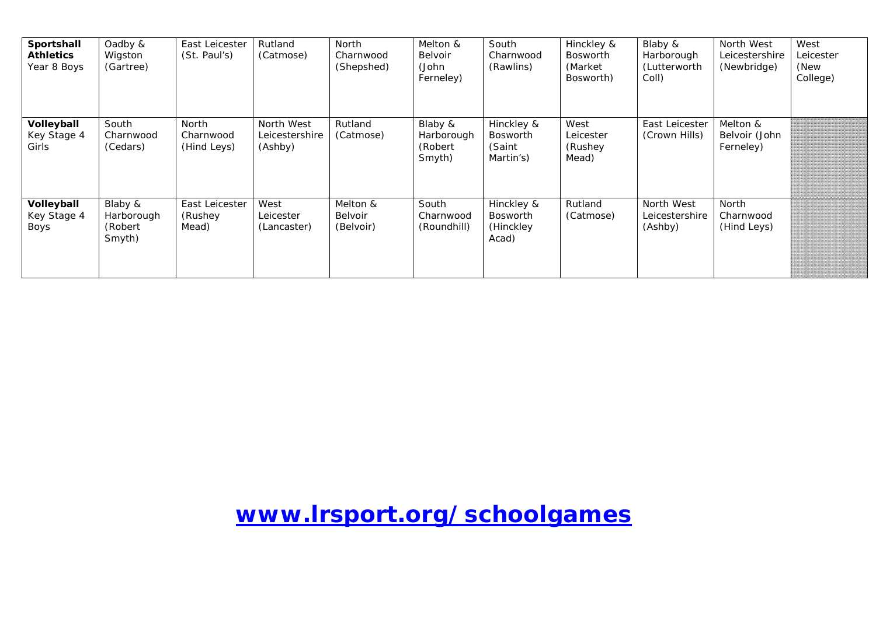| Sportshall<br><b>Athletics</b><br>Year 8 Boys | Oadby &<br>Wigston<br>(Gartree)             | East Leicester<br>(St. Paul's)      | Rutland<br>(Catmose)                    | <b>North</b><br>Charnwood<br>(Shepshed) | Melton &<br>Belvoir<br>(John<br>Ferneley)   | South<br>Charnwood<br>(Rawlins)                     | Hinckley &<br><b>Bosworth</b><br>(Market)<br>Bosworth) | Blaby &<br>Harborough<br>(Lutterworth<br>Coll) | North West<br>Leicestershire<br>(Newbridge) | West<br>Leicester<br>(New<br>College) |
|-----------------------------------------------|---------------------------------------------|-------------------------------------|-----------------------------------------|-----------------------------------------|---------------------------------------------|-----------------------------------------------------|--------------------------------------------------------|------------------------------------------------|---------------------------------------------|---------------------------------------|
| Volleyball<br>Key Stage 4<br>Girls            | South<br>Charnwood<br>(Cedars)              | North<br>Charnwood<br>(Hind Leys)   | North West<br>Leicestershire<br>(Ashby) | Rutland<br>(Catmose)                    | Blaby &<br>Harborough<br>(Robert)<br>Smyth) | Hinckley &<br>Bosworth<br>(Saint<br>Martin's)       | West<br>Leicester<br>(Rushey<br>Mead)                  | East Leicester<br>(Crown Hills)                | Melton &<br>Belvoir (John<br>Ferneley)      |                                       |
| Volleyball<br>Key Stage 4<br>Boys             | Blaby &<br>Harborough<br>(Robert)<br>Smyth) | East Leicester<br>(Rushey)<br>Mead) | West<br>Leicester<br>(Lancaster)        | Melton &<br>Belvoir<br>(Belvoir)        | South<br>Charnwood<br>(Roundhill)           | Hinckley &<br><b>Bosworth</b><br>(Hinckley<br>Acad) | Rutland<br>(Catmose)                                   | North West<br>Leicestershire<br>(Ashby)        | <b>North</b><br>Charnwood<br>(Hind Leys)    |                                       |

## **[www.lrsport.org/schoolgames](http://www.lrsport.org/schoolgames)**